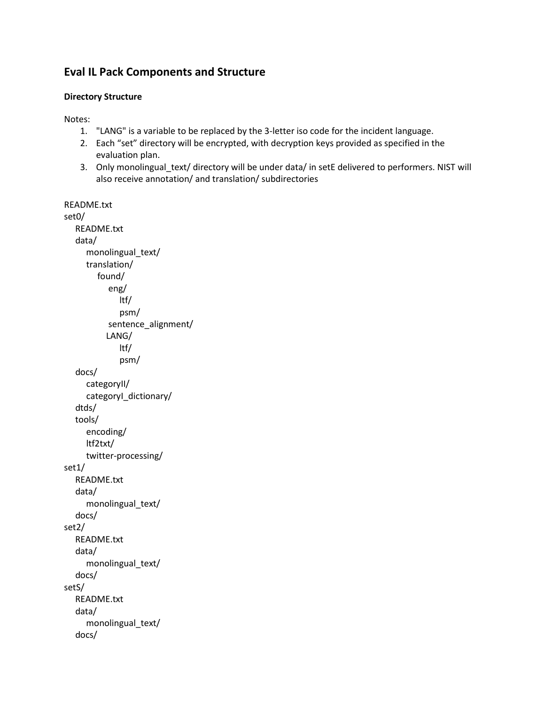## **Eval IL Pack Components and Structure**

## **Directory Structure**

Notes:

- 1. "LANG" is a variable to be replaced by the 3-letter iso code for the incident language.
- 2. Each "set" directory will be encrypted, with decryption keys provided as specified in the evaluation plan.
- 3. Only monolingual\_text/ directory will be under data/ in setE delivered to performers. NIST will also receive annotation/ and translation/ subdirectories

```
README.txt
set0/
    README.txt
    data/ 
       monolingual_text/ 
       translation/
         found/
            eng/
               ltf/ 
                psm/ 
           sentence_alignment/
            LANG/ 
               ltf/ 
                psm/ 
    docs/ 
      categoryII/ 
       categoryI_dictionary/ 
    dtds/ 
    tools/
       encoding/
      ltf2txt/
      twitter-processing/
set1/
    README.txt
    data/
       monolingual_text/ 
    docs/ 
set2/
    README.txt 
    data/
       monolingual_text/ 
    docs/ 
setS/
    README.txt 
    data/
       monolingual_text/ 
    docs/
```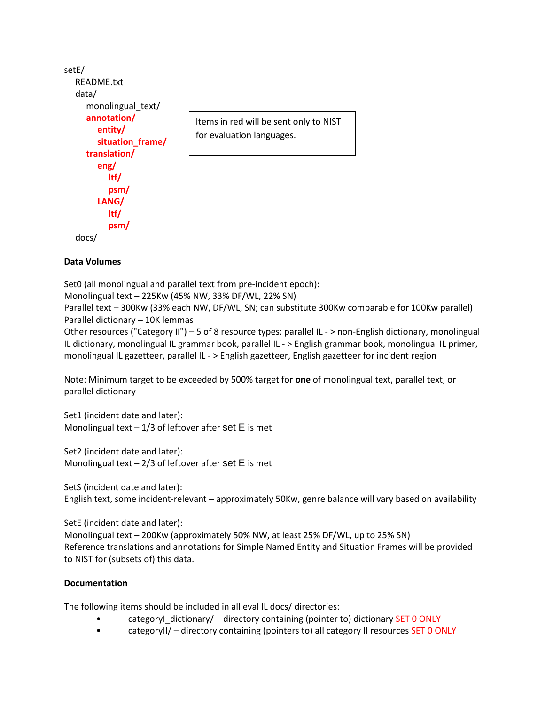```
setE/
   README.txt
   data/
      monolingual_text/
      annotation/
         entity/ 
         situation_frame/ 
      translation/
         eng/
            ltf/ 
            psm/ 
         LANG/
            ltf/ 
            psm/
   docs/
                                   Items in red will be sent only to NIST 
                                   for evaluation languages.
```
## **Data Volumes**

Set0 (all monolingual and parallel text from pre-incident epoch): Monolingual text – 225Kw (45% NW, 33% DF/WL, 22% SN) Parallel text – 300Kw (33% each NW, DF/WL, SN; can substitute 300Kw comparable for 100Kw parallel) Parallel dictionary – 10K lemmas

Other resources ("Category II") – 5 of 8 resource types: parallel IL - > non-English dictionary, monolingual IL dictionary, monolingual IL grammar book, parallel IL - > English grammar book, monolingual IL primer, monolingual IL gazetteer, parallel IL - > English gazetteer, English gazetteer for incident region

Note: Minimum target to be exceeded by 500% target for **one** of monolingual text, parallel text, or parallel dictionary

Set1 (incident date and later): Monolingual text  $-1/3$  of leftover after set E is met

Set2 (incident date and later): Monolingual text  $-2/3$  of leftover after set E is met

SetS (incident date and later): English text, some incident-relevant – approximately 50Kw, genre balance will vary based on availability

SetE (incident date and later):

Monolingual text – 200Kw (approximately 50% NW, at least 25% DF/WL, up to 25% SN) Reference translations and annotations for Simple Named Entity and Situation Frames will be provided to NIST for (subsets of) this data.

## **Documentation**

The following items should be included in all eval IL docs/ directories:

- categoryI\_dictionary/ directory containing (pointer to) dictionary SET 0 ONLY
- categoryII/ directory containing (pointers to) all category II resources SET 0 ONLY